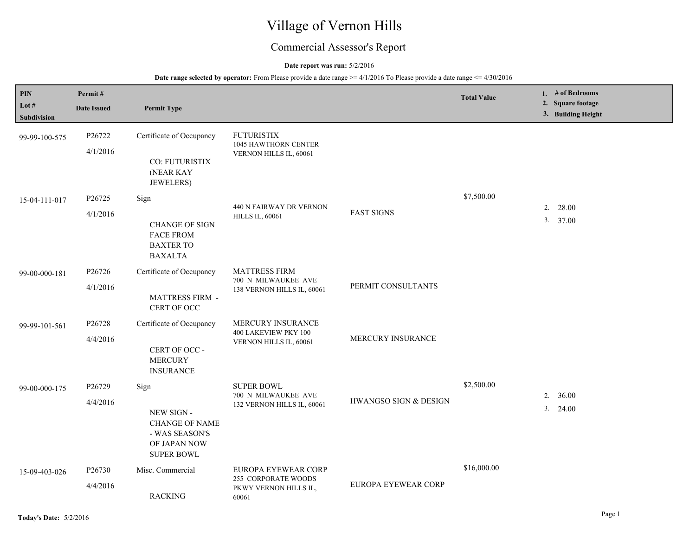# Village of Vernon Hills

# Commercial Assessor's Report

#### **Date report was run:** 5/2/2016

| $\mathbf{PIN}$<br>Lot #<br>Subdivision | Permit#<br><b>Date Issued</b> | <b>Permit Type</b>                                                                                 |                                                                              |                       | <b>Total Value</b> | 1. $#$ of Bedrooms<br>2. Square footage<br>3. Building Height |
|----------------------------------------|-------------------------------|----------------------------------------------------------------------------------------------------|------------------------------------------------------------------------------|-----------------------|--------------------|---------------------------------------------------------------|
| 99-99-100-575                          | P26722<br>4/1/2016            | Certificate of Occupancy<br>CO: FUTURISTIX<br>(NEAR KAY<br>JEWELERS)                               | <b>FUTURISTIX</b><br>1045 HAWTHORN CENTER<br>VERNON HILLS IL, 60061          |                       |                    |                                                               |
| 15-04-111-017                          | P26725<br>4/1/2016            | Sign<br><b>CHANGE OF SIGN</b><br><b>FACE FROM</b><br><b>BAXTER TO</b><br><b>BAXALTA</b>            | 440 N FAIRWAY DR VERNON<br><b>HILLS IL, 60061</b>                            | <b>FAST SIGNS</b>     | \$7,500.00         | 28.00<br>2.<br>3. 37.00                                       |
| 99-00-000-181                          | P26726<br>4/1/2016            | Certificate of Occupancy<br><b>MATTRESS FIRM -</b><br>CERT OF OCC                                  | <b>MATTRESS FIRM</b><br>700 N MILWAUKEE AVE<br>138 VERNON HILLS IL, 60061    | PERMIT CONSULTANTS    |                    |                                                               |
| 99-99-101-561                          | P26728<br>4/4/2016            | Certificate of Occupancy<br>CERT OF OCC -<br><b>MERCURY</b><br><b>INSURANCE</b>                    | MERCURY INSURANCE<br>400 LAKEVIEW PKY 100<br>VERNON HILLS IL, 60061          | MERCURY INSURANCE     |                    |                                                               |
| 99-00-000-175                          | P26729<br>4/4/2016            | Sign<br>NEW SIGN -<br><b>CHANGE OF NAME</b><br>- WAS SEASON'S<br>OF JAPAN NOW<br><b>SUPER BOWL</b> | <b>SUPER BOWL</b><br>700 N MILWAUKEE AVE<br>132 VERNON HILLS IL, 60061       | HWANGSO SIGN & DESIGN | \$2,500.00         | 36.00<br>2.<br>3. 24.00                                       |
| 15-09-403-026                          | P26730<br>4/4/2016            | Misc. Commercial<br><b>RACKING</b>                                                                 | EUROPA EYEWEAR CORP<br>255 CORPORATE WOODS<br>PKWY VERNON HILLS IL,<br>60061 | EUROPA EYEWEAR CORP   | \$16,000.00        |                                                               |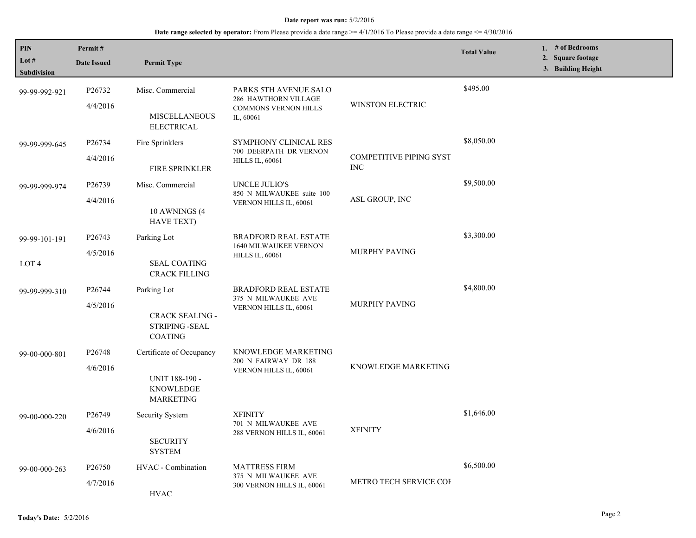| PIN                    | Permit#                                                         |                                                               |                                                       |                                              | <b>Total Value</b> | 1. # of Bedrooms                                  |
|------------------------|-----------------------------------------------------------------|---------------------------------------------------------------|-------------------------------------------------------|----------------------------------------------|--------------------|---------------------------------------------------|
| Lot $#$<br>Subdivision | <b>Date Issued</b>                                              | <b>Permit Type</b>                                            |                                                       |                                              |                    | <b>Square footage</b><br>2.<br>3. Building Height |
| 99-99-992-921          | P26732                                                          | Misc. Commercial                                              | PARKS 5TH AVENUE SALO<br>286 HAWTHORN VILLAGE         | WINSTON ELECTRIC                             | \$495.00           |                                                   |
|                        | 4/4/2016                                                        | <b>MISCELLANEOUS</b><br><b>ELECTRICAL</b>                     | <b>COMMONS VERNON HILLS</b><br>IL, 60061              |                                              |                    |                                                   |
| 99-99-999-645          | P26734                                                          | Fire Sprinklers                                               | SYMPHONY CLINICAL RES<br>700 DEERPATH DR VERNON       |                                              | \$8,050.00         |                                                   |
|                        | 4/4/2016                                                        | <b>FIRE SPRINKLER</b>                                         | <b>HILLS IL, 60061</b>                                | <b>COMPETITIVE PIPING SYST</b><br><b>INC</b> |                    |                                                   |
| 99-99-999-974          | P <sub>26739</sub>                                              | Misc. Commercial                                              | UNCLE JULIO'S<br>850 N MILWAUKEE suite 100            |                                              | \$9,500.00         |                                                   |
|                        | 4/4/2016                                                        | 10 AWNINGS (4<br><b>HAVE TEXT)</b>                            | ASL GROUP, INC<br>VERNON HILLS IL, 60061              |                                              |                    |                                                   |
| 99-99-101-191          | P <sub>26743</sub>                                              | Parking Lot                                                   | <b>BRADFORD REAL ESTATE:</b><br>1640 MILWAUKEE VERNON |                                              | \$3,300.00         |                                                   |
| $\rm{LOT}$ 4           | 4/5/2016                                                        | <b>SEAL COATING</b><br><b>CRACK FILLING</b>                   | <b>HILLS IL, 60061</b>                                | <b>MURPHY PAVING</b>                         |                    |                                                   |
| 99-99-999-310          | P26744                                                          | Parking Lot                                                   | <b>BRADFORD REAL ESTATE:</b><br>375 N MILWAUKEE AVE   |                                              | \$4,800.00         |                                                   |
|                        | 4/5/2016<br>CRACK SEALING -<br>STRIPING -SEAL<br><b>COATING</b> | VERNON HILLS IL, 60061                                        | MURPHY PAVING                                         |                                              |                    |                                                   |
| 99-00-000-801          | P26748                                                          | Certificate of Occupancy                                      | KNOWLEDGE MARKETING<br>200 N FAIRWAY DR 188           |                                              |                    |                                                   |
|                        | 4/6/2016                                                        | <b>UNIT 188-190 -</b><br><b>KNOWLEDGE</b><br><b>MARKETING</b> | VERNON HILLS IL, 60061                                | KNOWLEDGE MARKETING                          |                    |                                                   |
| 99-00-000-220          | P <sub>26749</sub>                                              | Security System                                               | <b>XFINITY</b><br>701 N MILWAUKEE AVE                 |                                              | \$1,646.00         |                                                   |
|                        | 4/6/2016                                                        | <b>SECURITY</b><br><b>SYSTEM</b>                              | 288 VERNON HILLS IL, 60061                            | <b>XFINITY</b>                               |                    |                                                   |
| 99-00-000-263          | P <sub>26750</sub>                                              | HVAC - Combination                                            | <b>MATTRESS FIRM</b><br>375 N MILWAUKEE AVE           |                                              | \$6,500.00         |                                                   |
|                        | 4/7/2016                                                        | <b>HVAC</b>                                                   | 300 VERNON HILLS IL, 60061                            | METRO TECH SERVICE COI                       |                    |                                                   |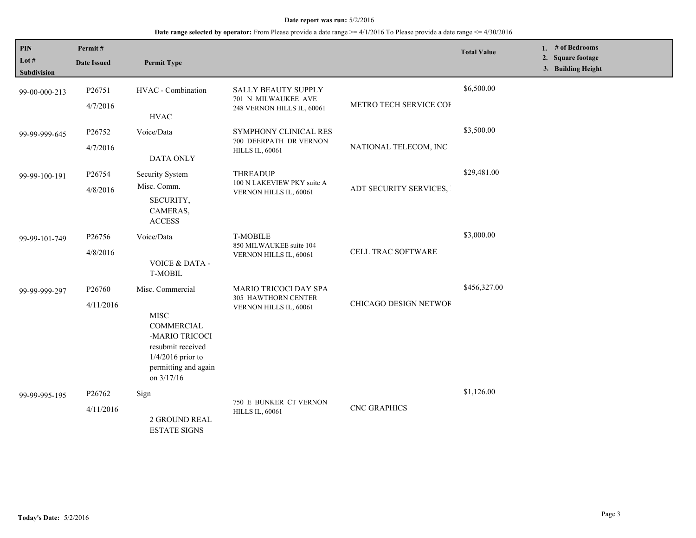| PIN<br>Lot $#$<br><b>Subdivision</b> | Permit#<br><b>Date Issued</b>   | <b>Permit Type</b>                                                                                                                                |                                                                                 |                        | <b>Total Value</b> | 1. # of Bedrooms<br>2. Square footage<br>3. Building Height |
|--------------------------------------|---------------------------------|---------------------------------------------------------------------------------------------------------------------------------------------------|---------------------------------------------------------------------------------|------------------------|--------------------|-------------------------------------------------------------|
| 99-00-000-213                        | P26751<br>4/7/2016              | HVAC - Combination<br><b>HVAC</b>                                                                                                                 | <b>SALLY BEAUTY SUPPLY</b><br>701 N MILWAUKEE AVE<br>248 VERNON HILLS IL, 60061 | METRO TECH SERVICE COF | \$6,500.00         |                                                             |
| 99-99-999-645                        | P26752<br>4/7/2016              | Voice/Data<br>DATA ONLY                                                                                                                           | SYMPHONY CLINICAL RES<br>700 DEERPATH DR VERNON<br><b>HILLS IL, 60061</b>       | NATIONAL TELECOM, INC  | \$3,500.00         |                                                             |
| 99-99-100-191                        | P26754<br>4/8/2016              | Security System<br>Misc. Comm.<br>SECURITY,<br>CAMERAS,<br><b>ACCESS</b>                                                                          | <b>THREADUP</b><br>100 N LAKEVIEW PKY suite A<br>VERNON HILLS IL, 60061         | ADT SECURITY SERVICES, | \$29,481.00        |                                                             |
| 99-99-101-749                        | P26756<br>4/8/2016              | Voice/Data<br><b>VOICE &amp; DATA -</b><br><b>T-MOBIL</b>                                                                                         | <b>T-MOBILE</b><br>850 MILWAUKEE suite 104<br>VERNON HILLS IL, 60061            | CELL TRAC SOFTWARE     | \$3,000.00         |                                                             |
| 99-99-999-297                        | P26760<br>4/11/2016             | Misc. Commercial<br><b>MISC</b><br>COMMERCIAL<br>-MARIO TRICOCI<br>resubmit received<br>$1/4/2016$ prior to<br>permitting and again<br>on 3/17/16 | MARIO TRICOCI DAY SPA<br>305 HAWTHORN CENTER<br>VERNON HILLS IL, 60061          | CHICAGO DESIGN NETWOF  | \$456,327.00       |                                                             |
| 99-99-995-195                        | P <sub>26762</sub><br>4/11/2016 | Sign<br>2 GROUND REAL<br><b>ESTATE SIGNS</b>                                                                                                      | 750 E BUNKER CT VERNON<br><b>HILLS IL, 60061</b>                                | <b>CNC GRAPHICS</b>    | \$1,126.00         |                                                             |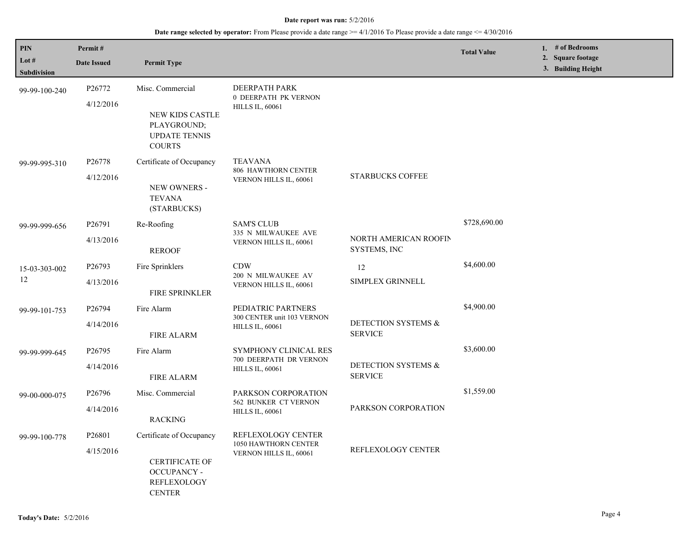| PIN<br>Lot #       | Permit#            |                                                                                                                                      |                                                                    |                                       | <b>Total Value</b> | 1. # of Bedrooms<br>2. Square footage |
|--------------------|--------------------|--------------------------------------------------------------------------------------------------------------------------------------|--------------------------------------------------------------------|---------------------------------------|--------------------|---------------------------------------|
| <b>Subdivision</b> | <b>Date Issued</b> | <b>Permit Type</b>                                                                                                                   |                                                                    |                                       |                    | 3. Building Height                    |
| 99-99-100-240      | P26772             | Misc. Commercial                                                                                                                     | DEERPATH PARK<br><b>0 DEERPATH PK VERNON</b>                       |                                       |                    |                                       |
|                    | 4/12/2016          | NEW KIDS CASTLE<br>PLAYGROUND;<br><b>UPDATE TENNIS</b><br><b>COURTS</b>                                                              | <b>HILLS IL, 60061</b>                                             |                                       |                    |                                       |
| 99-99-995-310      | P <sub>26778</sub> | Certificate of Occupancy                                                                                                             | <b>TEAVANA</b><br>806 HAWTHORN CENTER                              |                                       |                    |                                       |
|                    | 4/12/2016          | NEW OWNERS -<br><b>TEVANA</b><br>(STARBUCKS)                                                                                         | VERNON HILLS IL, 60061                                             | <b>STARBUCKS COFFEE</b>               |                    |                                       |
| 99-99-999-656      | P26791             | Re-Roofing                                                                                                                           | <b>SAM'S CLUB</b><br>335 N MILWAUKEE AVE<br>VERNON HILLS IL, 60061 |                                       | \$728,690.00       |                                       |
|                    | 4/13/2016          | <b>REROOF</b>                                                                                                                        |                                                                    | NORTH AMERICAN ROOFIN<br>SYSTEMS, INC |                    |                                       |
| 15-03-303-002      | P26793             | Fire Sprinklers                                                                                                                      | <b>CDW</b><br>200 N MILWAUKEE AV<br>VERNON HILLS IL, 60061         | 12                                    | \$4,600.00         |                                       |
| 12                 | 4/13/2016          | FIRE SPRINKLER                                                                                                                       |                                                                    | SIMPLEX GRINNELL                      |                    |                                       |
| 99-99-101-753      | P26794             | Fire Alarm                                                                                                                           | PEDIATRIC PARTNERS                                                 |                                       | \$4,900.00         |                                       |
|                    | 4/14/2016          | <b>FIRE ALARM</b>                                                                                                                    | 300 CENTER unit 103 VERNON<br><b>HILLS IL, 60061</b>               | DETECTION SYSTEMS &<br><b>SERVICE</b> |                    |                                       |
| 99-99-999-645      | P <sub>26795</sub> | Fire Alarm                                                                                                                           | SYMPHONY CLINICAL RES                                              |                                       | \$3,600.00         |                                       |
|                    | 4/14/2016          | <b>FIRE ALARM</b>                                                                                                                    | 700 DEERPATH DR VERNON<br><b>HILLS IL, 60061</b>                   | DETECTION SYSTEMS &<br><b>SERVICE</b> |                    |                                       |
| 99-00-000-075      | P <sub>26796</sub> | Misc. Commercial                                                                                                                     | PARKSON CORPORATION                                                |                                       | \$1,559.00         |                                       |
|                    | 4/14/2016          | <b>RACKING</b>                                                                                                                       | 562 BUNKER CT VERNON<br><b>HILLS IL, 60061</b>                     | PARKSON CORPORATION                   |                    |                                       |
| 99-99-100-778      | P26801             | Certificate of Occupancy                                                                                                             | REFLEXOLOGY CENTER                                                 |                                       |                    |                                       |
|                    | 4/15/2016          | 1050 HAWTHORN CENTER<br>VERNON HILLS IL, 60061<br><b>CERTIFICATE OF</b><br><b>OCCUPANCY -</b><br><b>REFLEXOLOGY</b><br><b>CENTER</b> | REFLEXOLOGY CENTER                                                 |                                       |                    |                                       |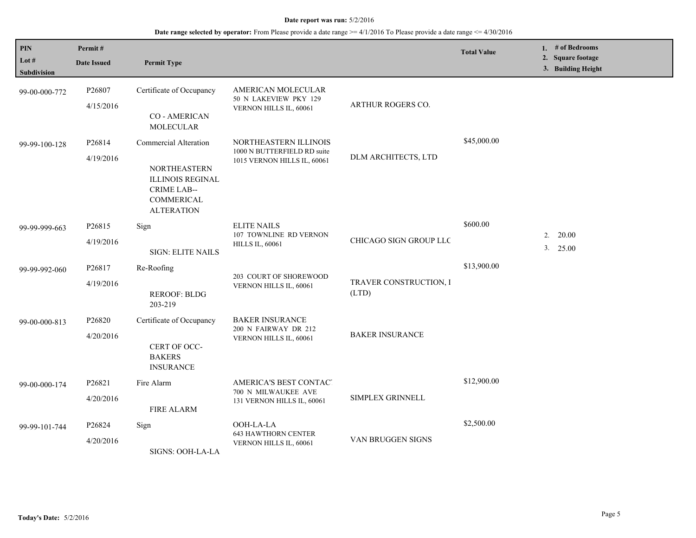| <b>PIN</b><br>Lot $#$<br><b>Subdivision</b> | Permit#<br><b>Date Issued</b> | <b>Permit Type</b>                                                                                                               |                                                                                     |                                 | <b>Total Value</b> | 1. $#$ of Bedrooms<br>2. Square footage<br>3. Building Height |
|---------------------------------------------|-------------------------------|----------------------------------------------------------------------------------------------------------------------------------|-------------------------------------------------------------------------------------|---------------------------------|--------------------|---------------------------------------------------------------|
| 99-00-000-772                               | P26807<br>4/15/2016           | Certificate of Occupancy<br><b>CO-AMERICAN</b><br><b>MOLECULAR</b>                                                               | AMERICAN MOLECULAR<br>50 N LAKEVIEW PKY 129<br>VERNON HILLS IL, 60061               | <b>ARTHUR ROGERS CO.</b>        |                    |                                                               |
| 99-99-100-128                               | P26814<br>4/19/2016           | Commercial Alteration<br><b>NORTHEASTERN</b><br><b>ILLINOIS REGINAL</b><br><b>CRIME LAB--</b><br>COMMERICAL<br><b>ALTERATION</b> | NORTHEASTERN ILLINOIS<br>1000 N BUTTERFIELD RD suite<br>1015 VERNON HILLS IL, 60061 | DLM ARCHITECTS, LTD             | \$45,000.00        |                                                               |
| 99-99-999-663                               | P26815<br>4/19/2016           | Sign<br><b>SIGN: ELITE NAILS</b>                                                                                                 | <b>ELITE NAILS</b><br>107 TOWNLINE RD VERNON<br><b>HILLS IL, 60061</b>              | CHICAGO SIGN GROUP LLC          | \$600.00           | $2. \quad 20.00$<br>3. 25.00                                  |
| 99-99-992-060                               | P26817<br>4/19/2016           | Re-Roofing<br><b>REROOF: BLDG</b><br>203-219                                                                                     | 203 COURT OF SHOREWOOD<br>VERNON HILLS IL, 60061                                    | TRAVER CONSTRUCTION, I<br>(LTD) | \$13,900.00        |                                                               |
| 99-00-000-813                               | P26820<br>4/20/2016           | Certificate of Occupancy<br>CERT OF OCC-<br><b>BAKERS</b><br><b>INSURANCE</b>                                                    | <b>BAKER INSURANCE</b><br>200 N FAIRWAY DR 212<br>VERNON HILLS IL, 60061            | <b>BAKER INSURANCE</b>          |                    |                                                               |
| 99-00-000-174                               | P26821<br>4/20/2016           | Fire Alarm<br><b>FIRE ALARM</b>                                                                                                  | AMERICA'S BEST CONTACT<br>700 N MILWAUKEE AVE<br>131 VERNON HILLS IL, 60061         | SIMPLEX GRINNELL                | \$12,900.00        |                                                               |
| 99-99-101-744                               | P26824<br>4/20/2016           | Sign<br>SIGNS: OOH-LA-LA                                                                                                         | OOH-LA-LA<br><b>643 HAWTHORN CENTER</b><br>VERNON HILLS IL, 60061                   | VAN BRUGGEN SIGNS               | \$2,500.00         |                                                               |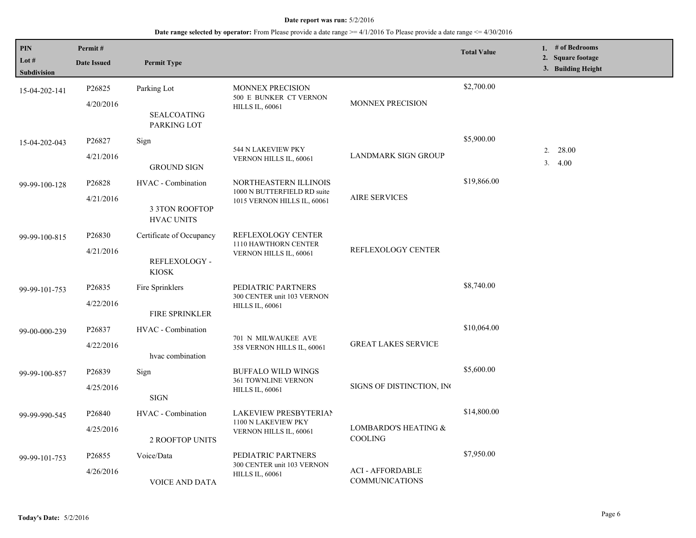| <b>PIN</b><br>Lot #<br><b>Subdivision</b> | Permit#<br><b>Date Issued</b>    | <b>Permit Type</b>                                               |                                                                                     |                                           | <b>Total Value</b> | 1. $#$ of Bedrooms<br>2. Square footage<br>3. Building Height |
|-------------------------------------------|----------------------------------|------------------------------------------------------------------|-------------------------------------------------------------------------------------|-------------------------------------------|--------------------|---------------------------------------------------------------|
| 15-04-202-141                             | P26825<br>4/20/2016              | Parking Lot<br><b>SEALCOATING</b><br>PARKING LOT                 | <b>MONNEX PRECISION</b><br>500 E BUNKER CT VERNON<br><b>HILLS IL, 60061</b>         | MONNEX PRECISION                          | \$2,700.00         |                                                               |
| 15-04-202-043                             | P26827<br>4/21/2016              | Sign<br><b>GROUND SIGN</b>                                       | 544 N LAKEVIEW PKY<br>VERNON HILLS IL, 60061                                        | <b>LANDMARK SIGN GROUP</b>                | \$5,900.00         | 28.00<br>2.<br>3.4.00                                         |
| 99-99-100-128                             | P26828<br>4/21/2016              | HVAC - Combination<br><b>3 3TON ROOFTOP</b><br><b>HVAC UNITS</b> | NORTHEASTERN ILLINOIS<br>1000 N BUTTERFIELD RD suite<br>1015 VERNON HILLS IL, 60061 | <b>AIRE SERVICES</b>                      | \$19,866.00        |                                                               |
| 99-99-100-815                             | P26830<br>4/21/2016              | Certificate of Occupancy<br>REFLEXOLOGY -<br><b>KIOSK</b>        | REFLEXOLOGY CENTER<br>1110 HAWTHORN CENTER<br>VERNON HILLS IL, 60061                | REFLEXOLOGY CENTER                        |                    |                                                               |
| 99-99-101-753                             | P <sub>26835</sub><br>4/22/2016  | Fire Sprinklers<br><b>FIRE SPRINKLER</b>                         | PEDIATRIC PARTNERS<br>300 CENTER unit 103 VERNON<br><b>HILLS IL, 60061</b>          |                                           | \$8,740.00         |                                                               |
| 99-00-000-239                             | P26837<br>4/22/2016              | HVAC - Combination<br>hvac combination                           | 701 N MILWAUKEE AVE<br>358 VERNON HILLS IL, 60061                                   | <b>GREAT LAKES SERVICE</b>                | \$10,064.00        |                                                               |
| 99-99-100-857                             | P <sub>268</sub> 39<br>4/25/2016 | Sign<br><b>SIGN</b>                                              | <b>BUFFALO WILD WINGS</b><br>361 TOWNLINE VERNON<br><b>HILLS IL, 60061</b>          | SIGNS OF DISTINCTION, INC                 | \$5,600.00         |                                                               |
| 99-99-990-545                             | P <sub>26840</sub><br>4/25/2016  | HVAC - Combination<br><b>2 ROOFTOP UNITS</b>                     | LAKEVIEW PRESBYTERIAN<br>1100 N LAKEVIEW PKY<br>VERNON HILLS IL, 60061              | LOMBARDO'S HEATING &<br><b>COOLING</b>    | \$14,800.00        |                                                               |
| 99-99-101-753                             | P <sub>26855</sub><br>4/26/2016  | Voice/Data<br><b>VOICE AND DATA</b>                              | PEDIATRIC PARTNERS<br>300 CENTER unit 103 VERNON<br><b>HILLS IL, 60061</b>          | <b>ACI - AFFORDABLE</b><br>COMMUNICATIONS | \$7,950.00         |                                                               |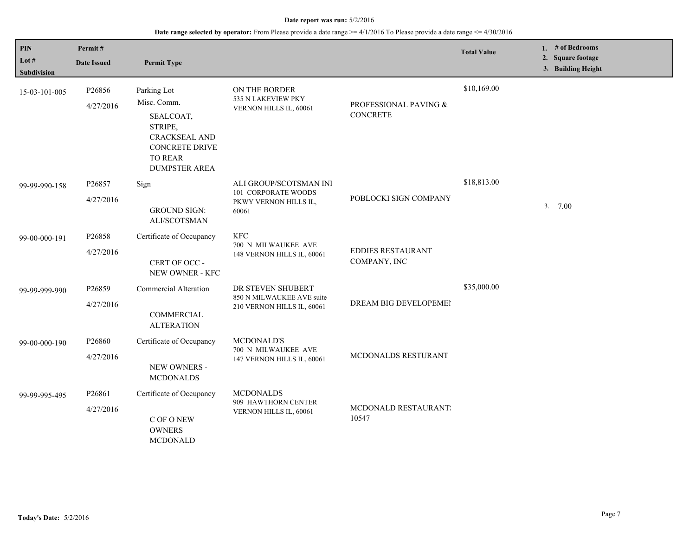| PIN<br>Lot #<br>Subdivision | Permit#<br><b>Date Issued</b>   | <b>Permit Type</b>                                                                                                                     |                                                                                 |                                          | <b>Total Value</b> | 1. # of Bedrooms<br>2. Square footage<br>3. Building Height |
|-----------------------------|---------------------------------|----------------------------------------------------------------------------------------------------------------------------------------|---------------------------------------------------------------------------------|------------------------------------------|--------------------|-------------------------------------------------------------|
| 15-03-101-005               | P26856<br>4/27/2016             | Parking Lot<br>Misc. Comm.<br>SEALCOAT,<br>STRIPE,<br><b>CRACKSEAL AND</b><br>CONCRETE DRIVE<br><b>TO REAR</b><br><b>DUMPSTER AREA</b> | ON THE BORDER<br>535 N LAKEVIEW PKY<br>VERNON HILLS IL, 60061                   | PROFESSIONAL PAVING &<br><b>CONCRETE</b> | \$10,169.00        |                                                             |
| 99-99-990-158               | P26857<br>4/27/2016             | Sign<br><b>GROUND SIGN:</b><br>ALI/SCOTSMAN                                                                                            | ALI GROUP/SCOTSMAN INI<br>101 CORPORATE WOODS<br>PKWY VERNON HILLS IL,<br>60061 | POBLOCKI SIGN COMPANY                    | \$18,813.00        | 3.700                                                       |
| 99-00-000-191               | P <sub>26858</sub><br>4/27/2016 | Certificate of Occupancy<br>CERT OF OCC -<br>NEW OWNER - KFC                                                                           | <b>KFC</b><br>700 N MILWAUKEE AVE<br>148 VERNON HILLS IL, 60061                 | <b>EDDIES RESTAURANT</b><br>COMPANY, INC |                    |                                                             |
| 99-99-999-990               | P26859<br>4/27/2016             | Commercial Alteration<br>COMMERCIAL<br><b>ALTERATION</b>                                                                               | DR STEVEN SHUBERT<br>850 N MILWAUKEE AVE suite<br>210 VERNON HILLS IL, 60061    | DREAM BIG DEVELOPEMEI                    | \$35,000.00        |                                                             |
| 99-00-000-190               | P26860<br>4/27/2016             | Certificate of Occupancy<br>NEW OWNERS -<br><b>MCDONALDS</b>                                                                           | <b>MCDONALD'S</b><br>700 N MILWAUKEE AVE<br>147 VERNON HILLS IL, 60061          | MCDONALDS RESTURANT                      |                    |                                                             |
| 99-99-995-495               | P26861<br>4/27/2016             | Certificate of Occupancy<br>C OF O NEW<br><b>OWNERS</b><br><b>MCDONALD</b>                                                             | <b>MCDONALDS</b><br>909 HAWTHORN CENTER<br>VERNON HILLS IL, 60061               | MCDONALD RESTAURANT<br>10547             |                    |                                                             |